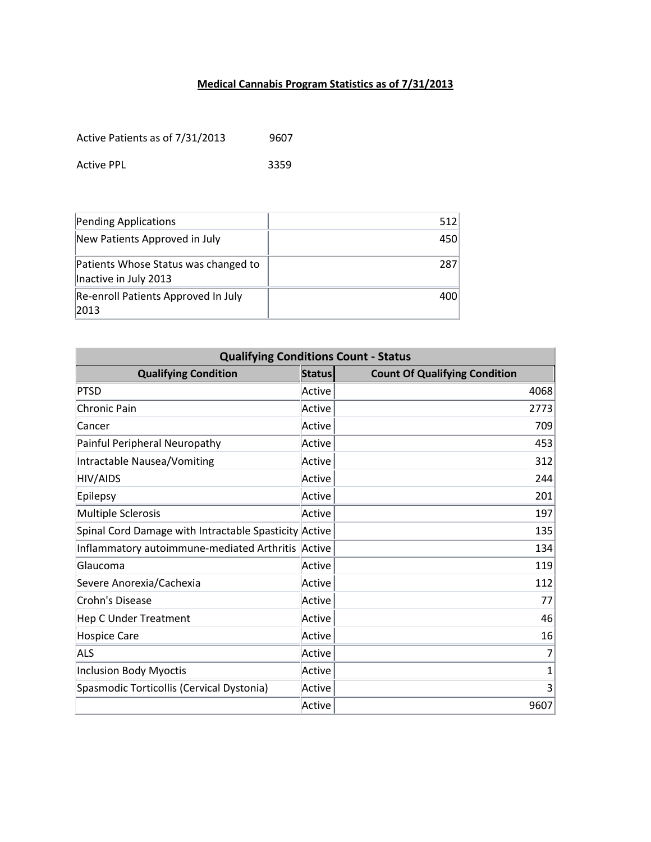## **Medical Cannabis Program Statistics as of 7/31/2013**

Active Patients as of 7/31/2013 9607

Active PPL 3359

| Pending Applications                                          | 512 |
|---------------------------------------------------------------|-----|
| New Patients Approved in July                                 | 450 |
| Patients Whose Status was changed to<br>Inactive in July 2013 | 287 |
| Re-enroll Patients Approved In July<br> 2013                  | 400 |

| <b>Qualifying Conditions Count - Status</b>           |               |                                      |  |
|-------------------------------------------------------|---------------|--------------------------------------|--|
| <b>Qualifying Condition</b>                           | <b>Status</b> | <b>Count Of Qualifying Condition</b> |  |
| PTSD                                                  | Active        | 4068                                 |  |
| <b>Chronic Pain</b>                                   | Active        | 2773                                 |  |
| Cancer                                                | Active        | 709                                  |  |
| Painful Peripheral Neuropathy                         | Active        | 453                                  |  |
| Intractable Nausea/Vomiting                           | Active        | 312                                  |  |
| <b>HIV/AIDS</b>                                       | Active        | 244                                  |  |
| Epilepsy                                              | Active        | 201                                  |  |
| <b>Multiple Sclerosis</b>                             | Active        | 197                                  |  |
| Spinal Cord Damage with Intractable Spasticity Active |               | 135                                  |  |
| Inflammatory autoimmune-mediated Arthritis            | Active        | 134                                  |  |
| Glaucoma                                              | Active        | 119                                  |  |
| Severe Anorexia/Cachexia                              | Active        | 112                                  |  |
| Crohn's Disease                                       | Active        | 77                                   |  |
| <b>Hep C Under Treatment</b>                          | Active        | 46                                   |  |
| <b>Hospice Care</b>                                   | Active        | 16                                   |  |
| <b>ALS</b>                                            | Active        | 7                                    |  |
| <b>Inclusion Body Myoctis</b>                         | Active        | 1                                    |  |
| Spasmodic Torticollis (Cervical Dystonia)             | Active        | 3                                    |  |
|                                                       | Active        | 9607                                 |  |